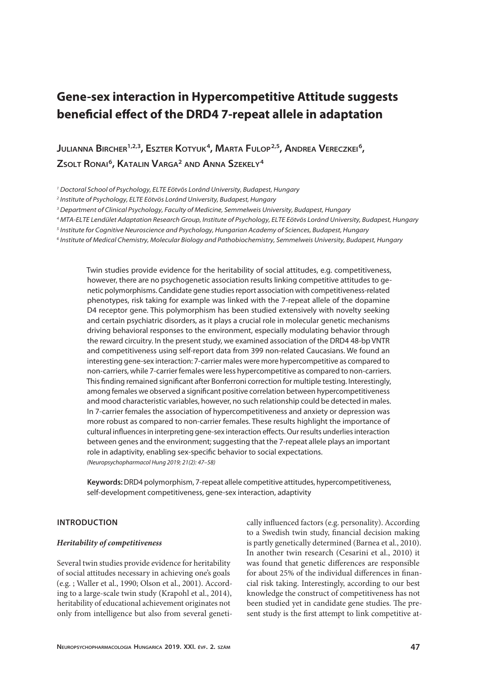# **Gene-sex interaction in Hypercompetitive Attitude suggests beneficial effect of the DRD4 7-repeat allele in adaptation**

**JULIANNA BIRCHER<sup>1,2,3</sup>, ESZTER KOTYUK<sup>4</sup>, MARTA FULOP<sup>2,5</sup>, ANDREA VERECZKEI<sup>6</sup>, Zsolt Ronai6, Katalin Varga2 and Anna Szekely4**

*1 Doctoral School of Psychology, ELTE Eötvös Loránd University, Budapest, Hungary*

*2 Institute of Psychology, ELTE Eötvös Loránd University, Budapest, Hungary*

*3 Department of Clinical Psychology, Faculty of Medicine, Semmelweis University, Budapest, Hungary*

*4 MTA-ELTE Lendület Adaptation Research Group, Institute of Psychology, ELTE Eötvös Loránd University, Budapest, Hungary*

- *5 Institute for Cognitive Neuroscience and Psychology, Hungarian Academy of Sciences, Budapest, Hungary*
- *6 Institute of Medical Chemistry, Molecular Biology and Pathobiochemistry, Semmelweis University, Budapest, Hungary*

Twin studies provide evidence for the heritability of social attitudes, e.g. competitiveness, however, there are no psychogenetic association results linking competitive attitudes to genetic polymorphisms. Candidate gene studies report association with competitiveness-related phenotypes, risk taking for example was linked with the 7-repeat allele of the dopamine D4 receptor gene. This polymorphism has been studied extensively with novelty seeking and certain psychiatric disorders, as it plays a crucial role in molecular genetic mechanisms driving behavioral responses to the environment, especially modulating behavior through the reward circuitry. In the present study, we examined association of the DRD4 48-bp VNTR and competitiveness using self-report data from 399 non-related Caucasians. We found an interesting gene-sex interaction: 7-carrier males were more hypercompetitive as compared to non-carriers, while 7-carrier females were less hypercompetitive as compared to non-carriers. This finding remained significant after Bonferroni correction for multiple testing. Interestingly, among females we observed a significant positive correlation between hypercompetitiveness and mood characteristic variables, however, no such relationship could be detected in males. In 7-carrier females the association of hypercompetitiveness and anxiety or depression was more robust as compared to non-carrier females. These results highlight the importance of cultural influences in interpreting gene-sex interaction effects. Our results underlies interaction between genes and the environment; suggesting that the 7-repeat allele plays an important role in adaptivity, enabling sex-specific behavior to social expectations. *(Neuropsychopharmacol Hung 2019; 21(2): 47–58)*

**Keywords:** DRD4 polymorphism, 7-repeat allele competitive attitudes, hypercompetitiveness, self-development competitiveness, gene-sex interaction, adaptivity

# **INTRODUCTION**

## *Heritability of competitiveness*

Several twin studies provide evidence for heritability of social attitudes necessary in achieving one's goals (e.g. ; Waller et al., 1990; Olson et al., 2001). According to a large-scale twin study (Krapohl et al., 2014), heritability of educational achievement originates not only from intelligence but also from several genetically influenced factors (e.g. personality). According to a Swedish twin study, financial decision making is partly genetically determined (Barnea et al., 2010). In another twin research (Cesarini et al., 2010) it was found that genetic differences are responsible for about 25% of the individual differences in financial risk taking. Interestingly, according to our best knowledge the construct of competitiveness has not been studied yet in candidate gene studies. The present study is the first attempt to link competitive at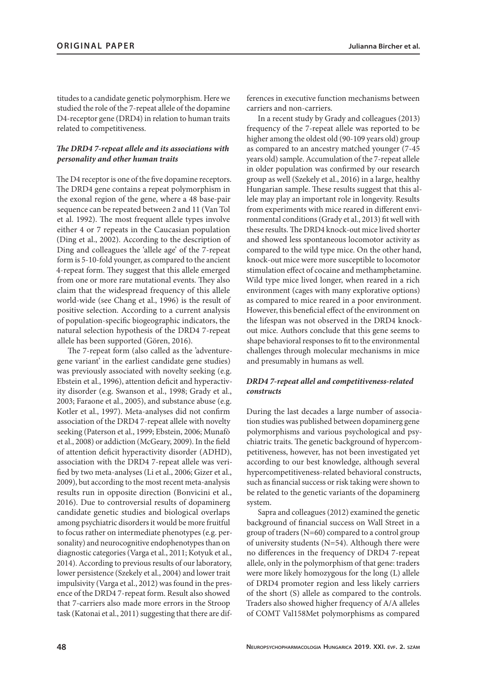titudes to a candidate genetic polymorphism. Here we studied the role of the 7-repeat allele of the dopamine D4-receptor gene (DRD4) in relation to human traits related to competitiveness.

# *The DRD4 7-repeat allele and its associations with personality and other human traits*

The D4 receptor is one of the five dopamine receptors. The DRD4 gene contains a repeat polymorphism in the exonal region of the gene, where a 48 base-pair sequence can be repeated between 2 and 11 (Van Tol et al. 1992). The most frequent allele types involve either 4 or 7 repeats in the Caucasian population (Ding et al., 2002). According to the description of Ding and colleagues the 'allele age' of the 7-repeat form is 5-10-fold younger, as compared to the ancient 4-repeat form. They suggest that this allele emerged from one or more rare mutational events. They also claim that the widespread frequency of this allele world-wide (see Chang et al., 1996) is the result of positive selection. According to a current analysis of population-specific biogeographic indicators, the natural selection hypothesis of the DRD4 7-repeat allele has been supported (Gören, 2016).

The 7-repeat form (also called as the 'adventuregene variant' in the earliest candidate gene studies) was previously associated with novelty seeking (e.g. Ebstein et al., 1996), attention deficit and hyperactivity disorder (e.g. Swanson et al., 1998; Grady et al., 2003; Faraone et al., 2005), and substance abuse (e.g. Kotler et al., 1997). Meta-analyses did not confirm association of the DRD4 7-repeat allele with novelty seeking (Paterson et al., 1999; Ebstein, 2006; Munafò et al., 2008) or addiction (McGeary, 2009). In the field of attention deficit hyperactivity disorder (ADHD), association with the DRD4 7-repeat allele was verified by two meta-analyses (Li et al., 2006; Gizer et al., 2009), but according to the most recent meta-analysis results run in opposite direction (Bonvicini et al., 2016). Due to controversial results of dopaminerg candidate genetic studies and biological overlaps among psychiatric disorders it would be more fruitful to focus rather on intermediate phenotypes (e.g. personality) and neurocognitive endophenotypes than on diagnostic categories (Varga et al., 2011; Kotyuk et al., 2014). According to previous results of our laboratory, lower persistence (Szekely et al., 2004) and lower trait impulsivity (Varga et al., 2012) was found in the presence of the DRD4 7-repeat form. Result also showed that 7-carriers also made more errors in the Stroop task (Katonai et al., 2011) suggesting that there are differences in executive function mechanisms between carriers and non-carriers.

In a recent study by Grady and colleagues (2013) frequency of the 7-repeat allele was reported to be higher among the oldest old (90-109 years old) group as compared to an ancestry matched younger (7-45 years old) sample. Accumulation of the 7-repeat allele in older population was confirmed by our research group as well (Szekely et al., 2016) in a large, healthy Hungarian sample. These results suggest that this allele may play an important role in longevity. Results from experiments with mice reared in different environmental conditions (Grady et al., 2013) fit well with these results. The DRD4 knock-out mice lived shorter and showed less spontaneous locomotor activity as compared to the wild type mice. On the other hand, knock-out mice were more susceptible to locomotor stimulation effect of cocaine and methamphetamine. Wild type mice lived longer, when reared in a rich environment (cages with many explorative options) as compared to mice reared in a poor environment. However, this beneficial effect of the environment on the lifespan was not observed in the DRD4 knockout mice. Authors conclude that this gene seems to shape behavioral responses to fit to the environmental challenges through molecular mechanisms in mice and presumably in humans as well.

## *DRD4 7-repeat allel and competitiveness-related constructs*

During the last decades a large number of association studies was published between dopaminerg gene polymorphisms and various psychological and psychiatric traits. The genetic background of hypercompetitiveness, however, has not been investigated yet according to our best knowledge, although several hypercompetitiveness-related behavioral constructs, such as financial success or risk taking were shown to be related to the genetic variants of the dopaminerg system.

Sapra and colleagues (2012) examined the genetic background of financial success on Wall Street in a group of traders (N=60) compared to a control group of university students (N=54). Although there were no differences in the frequency of DRD4 7-repeat allele, only in the polymorphism of that gene: traders were more likely homozygous for the long (L) allele of DRD4 promoter region and less likely carriers of the short (S) allele as compared to the controls. Traders also showed higher frequency of A/A alleles of COMT Val158Met polymorphisms as compared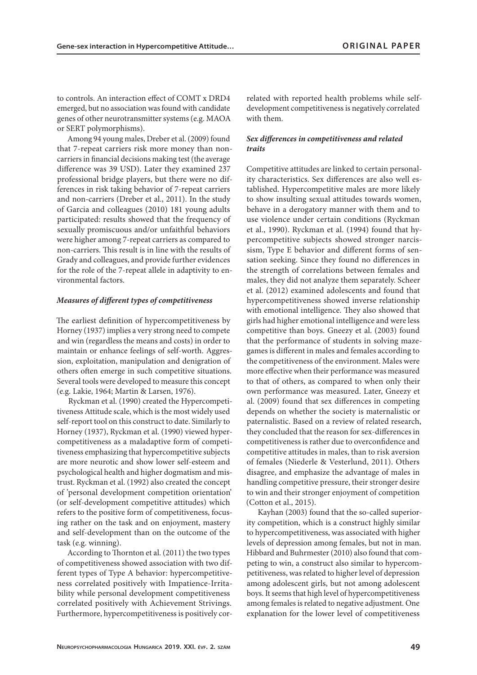to controls. An interaction effect of COMT x DRD4 emerged, but no association was found with candidate genes of other neurotransmitter systems (e.g. MAOA or SERT polymorphisms).

Among 94 young males, Dreber et al. (2009) found that 7-repeat carriers risk more money than noncarriers in financial decisions making test (the average difference was 39 USD). Later they examined 237 professional bridge players, but there were no differences in risk taking behavior of 7-repeat carriers and non-carriers (Dreber et al., 2011). In the study of Garcia and colleagues (2010) 181 young adults participated: results showed that the frequency of sexually promiscuous and/or unfaithful behaviors were higher among 7-repeat carriers as compared to non-carriers. This result is in line with the results of Grady and colleagues, and provide further evidences for the role of the 7-repeat allele in adaptivity to environmental factors.

## *Measures of different types of competitiveness*

The earliest definition of hypercompetitiveness by Horney (1937) implies a very strong need to compete and win (regardless the means and costs) in order to maintain or enhance feelings of self-worth. Aggression, exploitation, manipulation and denigration of others often emerge in such competitive situations. Several tools were developed to measure this concept (e.g. Lakie, 1964; Martin & Larsen, 1976).

Ryckman et al. (1990) created the Hypercompetitiveness Attitude scale, which is the most widely used self-report tool on this construct to date. Similarly to Horney (1937), Ryckman et al. (1990) viewed hypercompetitiveness as a maladaptive form of competitiveness emphasizing that hypercompetitive subjects are more neurotic and show lower self-esteem and psychological health and higher dogmatism and mistrust. Ryckman et al. (1992) also created the concept of 'personal development competition orientation' (or self-development competitive attitudes) which refers to the positive form of competitiveness, focusing rather on the task and on enjoyment, mastery and self-development than on the outcome of the task (e.g. winning).

According to Thornton et al. (2011) the two types of competitiveness showed association with two different types of Type A behavior: hypercompetitiveness correlated positively with Impatience-Irritability while personal development competitiveness correlated positively with Achievement Strivings. Furthermore, hypercompetitiveness is positively correlated with reported health problems while selfdevelopment competitiveness is negatively correlated with them.

## *Sex differences in competitiveness and related traits*

Competitive attitudes are linked to certain personality characteristics. Sex differences are also well established. Hypercompetitive males are more likely to show insulting sexual attitudes towards women, behave in a derogatory manner with them and to use violence under certain conditions (Ryckman et al., 1990). Ryckman et al. (1994) found that hypercompetitive subjects showed stronger narcissism, Type E behavior and different forms of sensation seeking. Since they found no differences in the strength of correlations between females and males, they did not analyze them separately. Scheer et al. (2012) examined adolescents and found that hypercompetitiveness showed inverse relationship with emotional intelligence. They also showed that girls had higher emotional intelligence and were less competitive than boys. Gneezy et al. (2003) found that the performance of students in solving mazegames is different in males and females according to the competitiveness of the environment. Males were more effective when their performance was measured to that of others, as compared to when only their own performance was measured. Later, Gneezy et al. (2009) found that sex differences in competing depends on whether the society is maternalistic or paternalistic. Based on a review of related research, they concluded that the reason for sex-differences in competitiveness is rather due to overconfidence and competitive attitudes in males, than to risk aversion of females (Niederle & Vesterlund, 2011). Others disagree, and emphasize the advantage of males in handling competitive pressure, their stronger desire to win and their stronger enjoyment of competition (Cotton et al., 2015).

Kayhan (2003) found that the so-called superiority competition, which is a construct highly similar to hypercompetitiveness, was associated with higher levels of depression among females, but not in man. Hibbard and Buhrmester (2010) also found that competing to win, a construct also similar to hypercompetitiveness, was related to higher level of depression among adolescent girls, but not among adolescent boys. It seems that high level of hypercompetitiveness among females is related to negative adjustment. One explanation for the lower level of competitiveness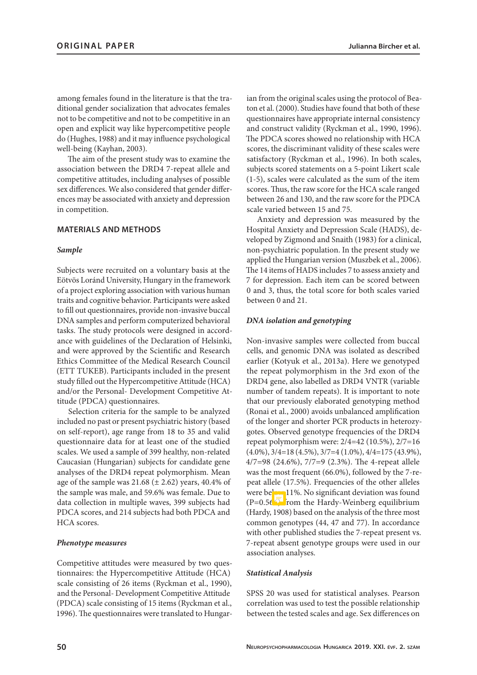among females found in the literature is that the traditional gender socialization that advocates females not to be competitive and not to be competitive in an open and explicit way like hypercompetitive people do (Hughes, 1988) and it may influence psychological well-being (Kayhan, 2003).

The aim of the present study was to examine the association between the DRD4 7-repeat allele and competitive attitudes, including analyses of possible sex differences. We also considered that gender differences may be associated with anxiety and depression in competition.

## **MATERIALS AND METHODS**

#### *Sample*

Subjects were recruited on a voluntary basis at the Eötvös Loránd University, Hungary in the framework of a project exploring association with various human traits and cognitive behavior. Participants were asked to fill out questionnaires, provide non-invasive buccal DNA samples and perform computerized behavioral tasks. The study protocols were designed in accordance with guidelines of the Declaration of Helsinki, and were approved by the Scientific and Research Ethics Committee of the Medical Research Council (ETT TUKEB). Participants included in the present study filled out the Hypercompetitive Attitude (HCA) and/or the Personal- Development Competitive Attitude (PDCA) questionnaires.

Selection criteria for the sample to be analyzed included no past or present psychiatric history (based on self-report), age range from 18 to 35 and valid questionnaire data for at least one of the studied scales. We used a sample of 399 healthy, non-related Caucasian (Hungarian) subjects for candidate gene analyses of the DRD4 repeat polymorphism. Mean age of the sample was  $21.68 \ (\pm 2.62)$  years, 40.4% of the sample was male, and 59.6% was female. Due to data collection in multiple waves, 399 subjects had PDCA scores, and 214 subjects had both PDCA and HCA scores.

#### *Phenotype measures*

Competitive attitudes were measured by two questionnaires: the Hypercompetitive Attitude (HCA) scale consisting of 26 items (Ryckman et al., 1990), and the Personal- Development Competitive Attitude (PDCA) scale consisting of 15 items (Ryckman et al., 1996). The questionnaires were translated to Hungarian from the original scales using the protocol of Beaton et al. (2000). Studies have found that both of these questionnaires have appropriate internal consistency and construct validity (Ryckman et al., 1990, 1996). The PDCA scores showed no relationship with HCA scores, the discriminant validity of these scales were satisfactory (Ryckman et al., 1996). In both scales, subjects scored statements on a 5-point Likert scale (1-5), scales were calculated as the sum of the item scores. Thus, the raw score for the HCA scale ranged between 26 and 130, and the raw score for the PDCA scale varied between 15 and 75.

Anxiety and depression was measured by the Hospital Anxiety and Depression Scale (HADS), developed by Zigmond and Snaith (1983) for a clinical, non-psychiatric population. In the present study we applied the Hungarian version (Muszbek et al., 2006). The 14 items of HADS includes 7 to assess anxiety and 7 for depression. Each item can be scored between 0 and 3, thus, the total score for both scales varied between 0 and 21.

## *DNA isolation and genotyping*

Non-invasive samples were collected from buccal cells, and genomic DNA was isolated as described earlier (Kotyuk et al., 2013a). Here we genotyped the repeat polymorphism in the 3rd exon of the DRD4 gene, also labelled as DRD4 VNTR (variable number of tandem repeats). It is important to note that our previously elaborated genotyping method (Ronai et al., 2000) avoids unbalanced amplification of the longer and shorter PCR products in heterozygotes. Observed genotype frequencies of the DRD4 repeat polymorphism were: 2/4=42 (10.5%), 2/7=16  $(4.0\%)$ ,  $3/4=18$   $(4.5\%)$ ,  $3/7=4$   $(1.0\%)$ ,  $4/4=175$   $(43.9\%)$ , 4/7=98 (24.6%), 7/7=9 (2.3%). The 4-repeat allele was the most frequent (66.0%), followed by the 7-repeat allele (17.5%). Frequencies of the other alleles were below 11%. No significant deviation was found  $(P=0.56\sqrt{5}$  from the Hardy-Weinberg equilibrium (Hardy, 1908) based on the analysis of the three most common genotypes (44, 47 and 77). In accordance with other published studies the 7-repeat present vs. 7-repeat absent genotype groups were used in our association analyses.

## *Statistical Analysis*

SPSS 20 was used for statistical analyses. Pearson correlation was used to test the possible relationship between the tested scales and age. Sex differences on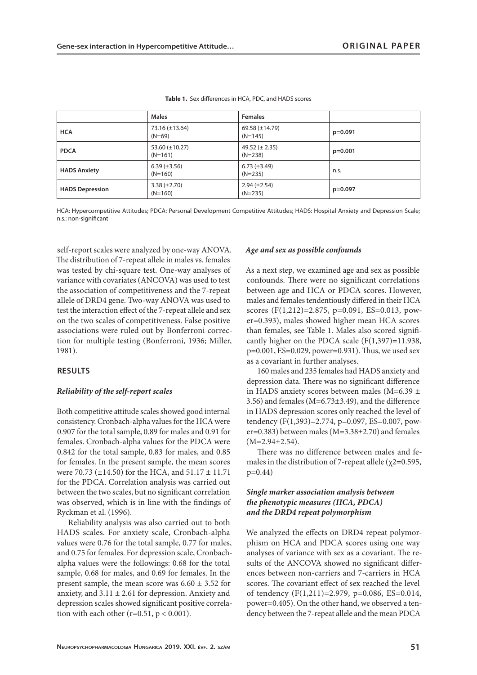|                        | <b>Males</b>                     | <b>Females</b>                   |           |
|------------------------|----------------------------------|----------------------------------|-----------|
| <b>HCA</b>             | $73.16 (\pm 13.64)$<br>$(N=69)$  | 69.58 $(\pm 14.79)$<br>$(N=145)$ | $p=0.091$ |
| <b>PDCA</b>            | 53.60 $(\pm 10.27)$<br>$(N=161)$ | 49.52 $(\pm 2.35)$<br>$(N=238)$  | $p=0.001$ |
| <b>HADS Anxiety</b>    | $6.39 (\pm 3.56)$<br>$(N=160)$   | $6.73 (\pm 3.49)$<br>$(N=235)$   | n.s.      |
| <b>HADS Depression</b> | $3.38 (\pm 2.70)$<br>$(N=160)$   | $2.94 \ (\pm 2.54)$<br>$(N=235)$ | $p=0.097$ |

**Table 1.** Sex differences in HCA, PDC, and HADS scores

HCA: Hypercompetitive Attitudes; PDCA: Personal Development Competitive Attitudes; HADS: Hospital Anxiety and Depression Scale; n.s.: non-significant

self-report scales were analyzed by one-way ANOVA. The distribution of 7-repeat allele in males vs. females was tested by chi-square test. One-way analyses of variance with covariates (ANCOVA) was used to test the association of competitiveness and the 7-repeat allele of DRD4 gene. Two-way ANOVA was used to test the interaction effect of the 7-repeat allele and sex on the two scales of competitiveness. False positive associations were ruled out by Bonferroni correction for multiple testing (Bonferroni, 1936; Miller, 1981).

#### **RESULTS**

### *Reliability of the self-report scales*

Both competitive attitude scales showed good internal consistency. Cronbach-alpha values for the HCA were 0.907 for the total sample, 0.89 for males and 0.91 for females. Cronbach-alpha values for the PDCA were 0.842 for the total sample, 0.83 for males, and 0.85 for females. In the present sample, the mean scores were 70.73 ( $\pm$ 14.50) for the HCA, and 51.17  $\pm$  11.71 for the PDCA. Correlation analysis was carried out between the two scales, but no significant correlation was observed, which is in line with the findings of Ryckman et al. (1996).

Reliability analysis was also carried out to both HADS scales. For anxiety scale, Cronbach-alpha values were 0.76 for the total sample, 0.77 for males, and 0.75 for females. For depression scale, Cronbachalpha values were the followings: 0.68 for the total sample, 0.68 for males, and 0.69 for females. In the present sample, the mean score was  $6.60 \pm 3.52$  for anxiety, and  $3.11 \pm 2.61$  for depression. Anxiety and depression scales showed significant positive correlation with each other  $(r=0.51, p < 0.001)$ .

#### *Age and sex as possible confounds*

As a next step, we examined age and sex as possible confounds. There were no significant correlations between age and HCA or PDCA scores. However, males and females tendentiously differed in their HCA scores (F(1,212)=2.875, p=0.091, ES=0.013, power=0.393), males showed higher mean HCA scores than females, see Table 1. Males also scored significantly higher on the PDCA scale (F(1,397)=11.938, p=0.001, ES=0.029, power=0.931). Thus, we used sex as a covariant in further analyses.

160 males and 235 females had HADS anxiety and depression data. There was no significant difference in HADS anxiety scores between males (M=6.39 ± 3.56) and females (M=6.73±3.49), and the difference in HADS depression scores only reached the level of tendency (F(1,393)=2.774, p=0.097, ES=0.007, power=0.383) between males (M=3.38±2.70) and females  $(M=2.94+2.54)$ .

There was no difference between males and females in the distribution of 7-repeat allele ( $\chi$ 2=0.595, p=0.44)

## *Single marker association analysis between the phenotypic measures (HCA, PDCA) and the DRD4 repeat polymorphism*

We analyzed the effects on DRD4 repeat polymorphism on HCA and PDCA scores using one way analyses of variance with sex as a covariant. The results of the ANCOVA showed no significant differences between non-carriers and 7-carriers in HCA scores. The covariant effect of sex reached the level of tendency (F(1,211)=2.979, p=0.086, ES=0.014, power=0.405). On the other hand, we observed a tendency between the 7-repeat allele and the mean PDCA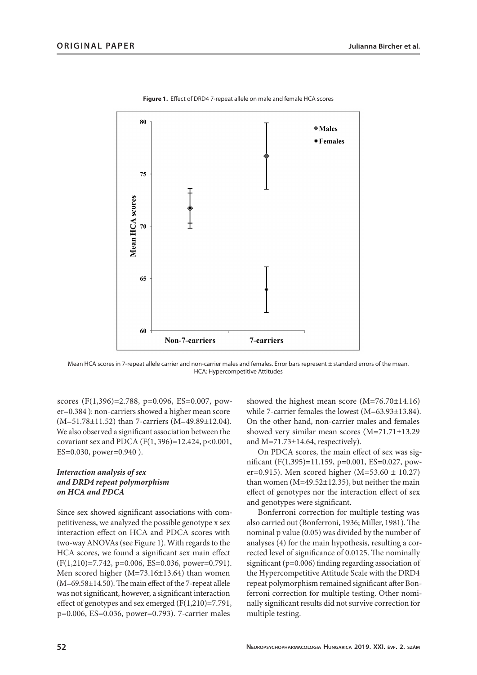

**Figure 1.** Effect of DRD4 7-repeat allele on male and female HCA scores

Mean HCA scores in 7-repeat allele carrier and non-carrier males and females. Error bars represent ± standard errors of the mean. HCA: Hypercompetitive Attitudes

scores (F(1,396)=2.788, p=0.096, ES=0.007, power=0.384 ): non-carriers showed a higher mean score (M=51.78±11.52) than 7-carriers (M=49.89±12.04). We also observed a significant association between the covariant sex and PDCA (F(1, 396)=12.424, p<0.001, ES=0.030, power=0.940 ).

# *Interaction analysis of sex and DRD4 repeat polymorphism on HCA and PDCA*

Since sex showed significant associations with competitiveness, we analyzed the possible genotype x sex interaction effect on HCA and PDCA scores with two-way ANOVAs (see Figure 1). With regards to the HCA scores, we found a significant sex main effect (F(1,210)=7.742, p=0.006, ES=0.036, power=0.791). Men scored higher (M=73.16±13.64) than women (M=69.58±14.50). The main effect of the 7-repeat allele was not significant, however, a significant interaction effect of genotypes and sex emerged (F(1,210)=7.791, p=0.006, ES=0.036, power=0.793). 7-carrier males

showed the highest mean score (M=76.70±14.16) while 7-carrier females the lowest (M=63.93±13.84). On the other hand, non-carrier males and females showed very similar mean scores (M=71.71±13.29 and M=71.73±14.64, respectively).

On PDCA scores, the main effect of sex was significant (F(1,395)=11.159, p=0.001, ES=0.027, power=0.915). Men scored higher  $(M=53.60 \pm 10.27)$ than women (M=49.52±12.35), but neither the main effect of genotypes nor the interaction effect of sex and genotypes were significant.

Bonferroni correction for multiple testing was also carried out (Bonferroni, 1936; Miller, 1981). The nominal p value (0.05) was divided by the number of analyses (4) for the main hypothesis, resulting a corrected level of significance of 0.0125. The nominally significant (p=0.006) finding regarding association of the Hypercompetitive Attitude Scale with the DRD4 repeat polymorphism remained significant after Bonferroni correction for multiple testing. Other nominally significant results did not survive correction for multiple testing.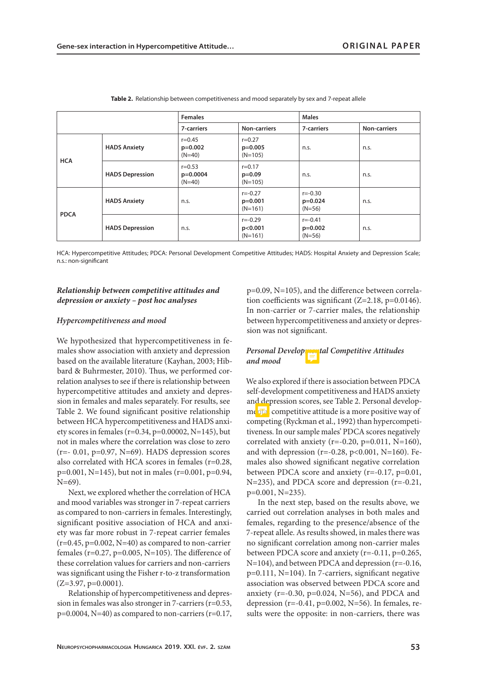|             | <b>Females</b>         |                                      |                                       | <b>Males</b>                         |              |
|-------------|------------------------|--------------------------------------|---------------------------------------|--------------------------------------|--------------|
|             |                        | 7-carriers                           | <b>Non-carriers</b>                   | 7-carriers                           | Non-carriers |
| <b>HCA</b>  | <b>HADS Anxiety</b>    | $r = 0.45$<br>$p=0.002$<br>$(N=40)$  | $r = 0.27$<br>$p=0.005$<br>$(N=105)$  | n.s.                                 | n.s.         |
|             | <b>HADS Depression</b> | $r = 0.53$<br>$p=0.0004$<br>$(N=40)$ | $r = 0.17$<br>$p=0.09$<br>$(N=105)$   | n.s.                                 | n.s.         |
| <b>PDCA</b> | <b>HADS Anxiety</b>    | n.s.                                 | $r = -0.27$<br>$p=0.001$<br>$(N=161)$ | $r = -0.30$<br>$p=0.024$<br>$(N=56)$ | n.s.         |
|             | <b>HADS Depression</b> | n.s.                                 | $r = -0.29$<br>p<0.001<br>$(N=161)$   | $r = -0.41$<br>$p=0.002$<br>$(N=56)$ | n.s.         |

**Table 2.** Relationship between competitiveness and mood separately by sex and 7-repeat allele

HCA: Hypercompetitive Attitudes; PDCA: Personal Development Competitive Attitudes; HADS: Hospital Anxiety and Depression Scale; n.s.: non-significant

# *Relationship between competitive attitudes and depression or anxiety – post hoc analyses*

#### *Hypercompetitiveness and mood*

We hypothesized that hypercompetitiveness in females show association with anxiety and depression based on the available literature (Kayhan, 2003; Hibbard & Buhrmester, 2010). Thus, we performed correlation analyses to see if there is relationship between hypercompetitive attitudes and anxiety and depression in females and males separately. For results, see Table 2. We found significant positive relationship between HCA hypercompetitiveness and HADS anxiety scores in females ( $r=0.34$ ,  $p=0.00002$ ,  $N=145$ ), but not in males where the correlation was close to zero  $(r=- 0.01, p=0.97, N=69)$ . HADS depression scores also correlated with HCA scores in females (r=0.28, p=0.001, N=145), but not in males (r=0.001, p=0.94, N=69).

Next, we explored whether the correlation of HCA and mood variables was stronger in 7-repeat carriers as compared to non-carriers in females. Interestingly, significant positive association of HCA and anxiety was far more robust in 7-repeat carrier females  $(r=0.45, p=0.002, N=40)$  as compared to non-carrier females ( $r=0.27$ ,  $p=0.005$ ,  $N=105$ ). The difference of these correlation values for carriers and non-carriers was significant using the Fisher r-to-z transformation  $(Z=3.97, p=0.0001)$ .

Relationship of hypercompetitiveness and depression in females was also stronger in 7-carriers (r=0.53,  $p=0.0004$ , N=40) as compared to non-carriers (r=0.17, p=0.09, N=105), and the difference between correlation coefficients was significant (Z=2.18, p=0.0146). In non-carrier or 7-carrier males, the relationship between hypercompetitiveness and anxiety or depression was not significant.

## *Personal Developmental Competitive Attitudes and mood*

We also explored if there is association between PDCA self-development competitiveness and HADS anxiety and depression scores, see Table 2. Personal develop $me$ <sub> $\frac{1}{\sqrt{2}}$ </sub> competitive attitude is a more positive way of competing (Ryckman et al., 1992) than hypercompetitiveness. In our sample males' PDCA scores negatively correlated with anxiety (r=-0.20, p=0.011, N=160), and with depression ( $r=-0.28$ ,  $p<0.001$ ,  $N=160$ ). Females also showed significant negative correlation between PDCA score and anxiety (r=-0.17, p=0.01, N=235), and PDCA score and depression (r=-0.21, p=0.001, N=235).

In the next step, based on the results above, we carried out correlation analyses in both males and females, regarding to the presence/absence of the 7-repeat allele. As results showed, in males there was no significant correlation among non-carrier males between PDCA score and anxiety (r=-0.11, p=0.265, N=104), and between PDCA and depression (r=-0.16, p=0.111, N=104). In 7-carriers, significant negative association was observed between PDCA score and anxiety ( $r=-0.30$ ,  $p=0.024$ ,  $N=56$ ), and PDCA and depression ( $r=-0.41$ ,  $p=0.002$ ,  $N=56$ ). In females, results were the opposite: in non-carriers, there was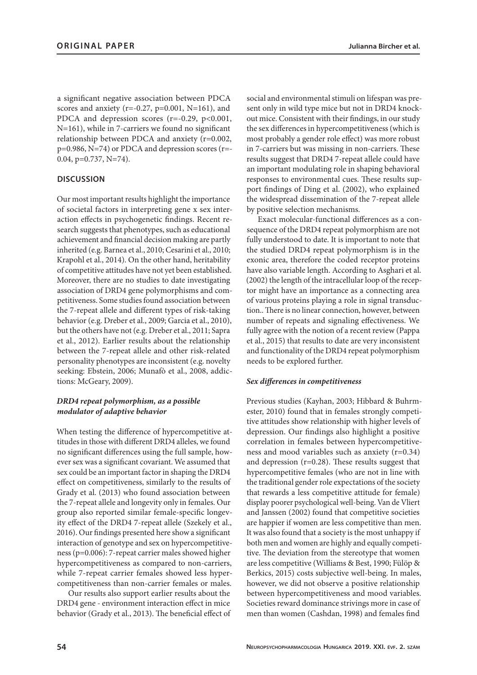a significant negative association between PDCA scores and anxiety (r=-0.27, p=0.001, N=161), and PDCA and depression scores (r=-0.29, p<0.001, N=161), while in 7-carriers we found no significant relationship between PDCA and anxiety (r=0.002, p=0.986, N=74) or PDCA and depression scores (r=- 0.04, p=0.737, N=74).

# **DISCUSSION**

Our most important results highlight the importance of societal factors in interpreting gene x sex interaction effects in psychogenetic findings. Recent research suggests that phenotypes, such as educational achievement and financial decision making are partly inherited (e.g. Barnea et al., 2010; Cesarini et al., 2010; Krapohl et al., 2014). On the other hand, heritability of competitive attitudes have not yet been established. Moreover, there are no studies to date investigating association of DRD4 gene polymorphisms and competitiveness. Some studies found association between the 7-repeat allele and different types of risk-taking behavior (e.g. Dreber et al., 2009; Garcia et al., 2010), but the others have not (e.g. Dreber et al., 2011; Sapra et al., 2012). Earlier results about the relationship between the 7-repeat allele and other risk-related personality phenotypes are inconsistent (e.g. novelty seeking: Ebstein, 2006; Munafò et al., 2008, addictions: McGeary, 2009).

# *DRD4 repeat polymorphism, as a possible modulator of adaptive behavior*

When testing the difference of hypercompetitive attitudes in those with different DRD4 alleles, we found no significant differences using the full sample, however sex was a significant covariant. We assumed that sex could be an important factor in shaping the DRD4 effect on competitiveness, similarly to the results of Grady et al. (2013) who found association between the 7-repeat allele and longevity only in females. Our group also reported similar female-specific longevity effect of the DRD4 7-repeat allele (Szekely et al., 2016). Our findings presented here show a significant interaction of genotype and sex on hypercompetitiveness (p=0.006): 7-repeat carrier males showed higher hypercompetitiveness as compared to non-carriers, while 7-repeat carrier females showed less hypercompetitiveness than non-carrier females or males.

Our results also support earlier results about the DRD4 gene - environment interaction effect in mice behavior (Grady et al., 2013). The beneficial effect of social and environmental stimuli on lifespan was present only in wild type mice but not in DRD4 knockout mice. Consistent with their findings, in our study the sex differences in hypercompetitiveness (which is most probably a gender role effect) was more robust in 7-carriers but was missing in non-carriers. These results suggest that DRD4 7-repeat allele could have an important modulating role in shaping behavioral responses to environmental cues. These results support findings of Ding et al. (2002), who explained the widespread dissemination of the 7-repeat allele by positive selection mechanisms.

Exact molecular-functional differences as a consequence of the DRD4 repeat polymorphism are not fully understood to date. It is important to note that the studied DRD4 repeat polymorphism is in the exonic area, therefore the coded receptor proteins have also variable length. According to Asghari et al. (2002) the length of the intracellular loop of the receptor might have an importance as a connecting area of various proteins playing a role in signal transduction.. There is no linear connection, however, between number of repeats and signaling effectiveness. We fully agree with the notion of a recent review (Pappa et al., 2015) that results to date are very inconsistent and functionality of the DRD4 repeat polymorphism needs to be explored further.

## *Sex differences in competitiveness*

Previous studies (Kayhan, 2003; Hibbard & Buhrmester, 2010) found that in females strongly competitive attitudes show relationship with higher levels of depression. Our findings also highlight a positive correlation in females between hypercompetitiveness and mood variables such as anxiety (r=0.34) and depression (r=0.28). These results suggest that hypercompetitive females (who are not in line with the traditional gender role expectations of the society that rewards a less competitive attitude for female) display poorer psychological well-being. Van de Vliert and Janssen (2002) found that competitive societies are happier if women are less competitive than men. It was also found that a society is the most unhappy if both men and women are highly and equally competitive. The deviation from the stereotype that women are less competitive (Williams & Best, 1990; Fülöp & Berkics, 2015) costs subjective well-being. In males, however, we did not observe a positive relationship between hypercompetitiveness and mood variables. Societies reward dominance strivings more in case of men than women (Cashdan, 1998) and females find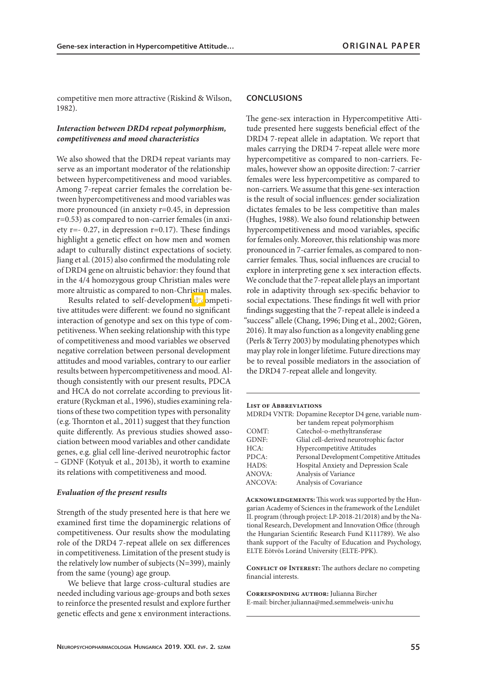competitive men more attractive (Riskind & Wilson, 1982).

# *Interaction between DRD4 repeat polymorphism, competitiveness and mood characteristics*

We also showed that the DRD4 repeat variants may serve as an important moderator of the relationship between hypercompetitiveness and mood variables. Among 7-repeat carrier females the correlation between hypercompetitiveness and mood variables was more pronounced (in anxiety r=0.45, in depression r=0.53) as compared to non-carrier females (in anxiety r=- 0.27, in depression r=0.17). These findings highlight a genetic effect on how men and women adapt to culturally distinct expectations of society. Jiang et al. (2015) also confirmed the modulating role of DRD4 gene on altruistic behavior: they found that in the 4/4 homozygous group Christian males were more altruistic as compared to non-Christian males.

Results related to self-developmental competitive attitudes were different: we found no significant interaction of genotype and sex on this type of competitiveness. When seeking relationship with this type of competitiveness and mood variables we observed negative correlation between personal development attitudes and mood variables, contrary to our earlier results between hypercompetitiveness and mood. Although consistently with our present results, PDCA and HCA do not correlate according to previous literature (Ryckman et al., 1996), studies examining relations of these two competition types with personality (e.g. Thornton et al., 2011) suggest that they function quite differently. As previous studies showed association between mood variables and other candidate genes, e.g. glial cell line-derived neurotrophic factor – GDNF (Kotyuk et al., 2013b), it worth to examine its relations with competitiveness and mood.

#### *Evaluation of the present results*

Strength of the study presented here is that here we examined first time the dopaminergic relations of competitiveness. Our results show the modulating role of the DRD4 7-repeat allele on sex differences in competitiveness. Limitation of the present study is the relatively low number of subjects (N=399), mainly from the same (young) age group.

We believe that large cross-cultural studies are needed including various age-groups and both sexes to reinforce the presented resulst and explore further genetic effects and gene x environment interactions.

#### **CONCLUSIONS**

The gene-sex interaction in Hypercompetitive Attitude presented here suggests beneficial effect of the DRD4 7-repeat allele in adaptation. We report that males carrying the DRD4 7-repeat allele were more hypercompetitive as compared to non-carriers. Females, however show an opposite direction: 7-carrier females were less hypercompetitive as compared to non-carriers. We assume that this gene-sex interaction is the result of social influences: gender socialization dictates females to be less competitive than males (Hughes, 1988). We also found relationship between hypercompetitiveness and mood variables, specific for females only. Moreover, this relationship was more pronounced in 7-carrier females, as compared to noncarrier females. Thus, social influences are crucial to explore in interpreting gene x sex interaction effects. We conclude that the 7-repeat allele plays an important role in adaptivity through sex-specific behavior to social expectations. These findings fit well with prior findings suggesting that the 7-repeat allele is indeed a "success" allele (Chang, 1996; Ding et al., 2002; Gören, 2016). It may also function as a longevity enabling gene (Perls & Terry 2003) by modulating phenotypes which may play role in longer lifetime. Future directions may be to reveal possible mediators in the association of the DRD4 7-repeat allele and longevity.

#### **List of Abbreviations**

| ber tandem repeat polymorphism                  |       | MDRD4 VNTR: Dopamine Receptor D4 gene, variable num- |
|-------------------------------------------------|-------|------------------------------------------------------|
|                                                 |       |                                                      |
|                                                 | COMT: | Catechol-o-methyltransferase                         |
| Glial cell-derived neurotrophic factor<br>GDNF: |       |                                                      |
| <b>Hypercompetitive Attitudes</b><br>HCA:       |       |                                                      |
| PDCA:                                           |       | Personal Development Competitive Attitudes           |
| HADS:<br>Hospital Anxiety and Depression Scale  |       |                                                      |
| <b>ANOVA:</b><br>Analysis of Variance           |       |                                                      |
| ANCOVA:<br>Analysis of Covariance               |       |                                                      |

**Acknowledgements:** This work was supported by the Hungarian Academy of Sciences in the framework of the Lendület II. program (through project: LP-2018-21/2018) and by the National Research, Development and Innovation Office (through the Hungarian Scientific Research Fund K111789). We also thank support of the Faculty of Education and Psychology, ELTE Eötvös Loránd University (ELTE-PPK).

**CONFLICT OF INTEREST:** The authors declare no competing financial interests.

**Corresponding author:** Julianna Bircher E-mail: bircher.julianna@med.semmelweis-univ.hu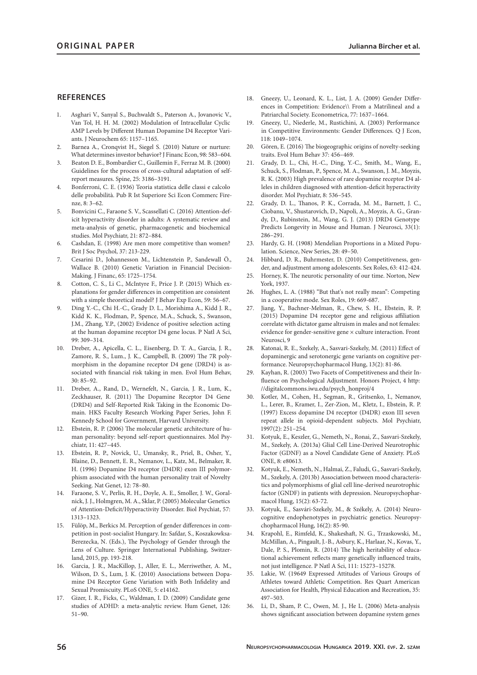### **REFERENCES**

- 1. Asghari V., Sanyal S., Buchwaldt S., Paterson A., Jovanovic V., Van Tol, H. H. M. (2002) Modulation of Intracellular Cyclic AMP Levels by Different Human Dopamine D4 Receptor Variants. J Neurochem 65: 1157–1165.
- 2. Barnea A., Cronqvist H., Siegel S. (2010) Nature or nurture: What determines investor behavior? J Financ Econ, 98: 583–604.
- 3. Beaton D. E., Bombardier C., Guillemin F., Ferraz M. B. (2000) Guidelines for the process of cross-cultural adaptation of selfreport measures. Spine, 25: 3186–3191.
- 4. Bonferroni, C. E. (1936) Teoria statistica delle classi e calcolo delle probabilità. Pub R Ist Superiore Sci Econ Commerc Firenze, 8: 3–62.
- 5. Bonvicini C., Faraone S. V., Scassellati C. (2016) Attention-deficit hyperactivity disorder in adults: A systematic review and meta-analysis of genetic, pharmacogenetic and biochemical studies. Mol Psychiatr, 21: 872–884.
- 6. Cashdan, E. (1998) Are men more competitive than women? Brit J Soc Psychol, 37: 213-229.
- 7. Cesarini D., Johannesson M., Lichtenstein P., Sandewall Ö., Wallace B. (2010) Genetic Variation in Financial Decision-Making. J Financ, 65: 1725–1754.
- 8. Cotton, C. S., Li C., McIntyre F., Price J. P. (2015) Which explanations for gender differences in competition are consistent with a simple theoretical model? J Behav Exp Econ, 59: 56–67.
- 9. Ding Y.-C., Chi H.-C., Grady D. L., Morishima A., Kidd J. R., Kidd K. K., Flodman, P., Spence, M.A., Schuck, S., Swanson, J.M., Zhang, Y.P., (2002) Evidence of positive selection acting at the human dopamine receptor D4 gene locus. P Natl A Sci, 99: 309–314.
- 10. Dreber, A., Apicella, C. L., Eisenberg, D. T. A., Garcia, J. R., Zamore, R. S., Lum., J. K., Campbell, B. (2009) The 7R polymorphism in the dopamine receptor D4 gene (DRD4) is associated with financial risk taking in men. Evol Hum Behav, 30: 85–92.
- 11. Dreber, A., Rand, D., Wernefelt, N., Garcia, J. R., Lum, K., Zeckhauser, R. (2011) The Dopamine Receptor D4 Gene (DRD4) and Self-Reported Risk Taking in the Economic Domain. HKS Faculty Research Working Paper Series, John F. Kennedy School for Government, Harvard University.
- 12. Ebstein, R. P. (2006) The molecular genetic architecture of human personality: beyond self-report questionnaires. Mol Psychiatr, 11: 427–445.
- 13. Ebstein, R. P., Novick, U., Umansky, R., Priel, B., Osher, Y., Blaine, D., Bennett, E. R., Nemanov, L., Katz, M., Belmaker, R. H. (1996) Dopamine D4 receptor (D4DR) exon III polymorphism associated with the human personality trait of Novelty Seeking. Nat Genet, 12: 78–80.
- 14. Faraone, S. V., Perlis, R. H., Doyle, A. E., Smoller, J. W., Goralnick, J. J., Holmgren, M. A., Sklar, P. (2005) Molecular Genetics of Attention-Deficit/Hyperactivity Disorder. Biol Psychiat, 57: 1313–1323.
- 15. Fülöp, M., Berkics M. Perception of gender differences in competition in post-socialist Hungary. In: Safdar, S., Koszakowksa-Berezecka, N. (Eds.), The Psychology of Gender through the Lens of Culture. Springer International Publishing, Switzerland, 2015, pp. 193-218.
- 16. Garcia, J. R., MacKillop, J., Aller, E. L., Merriwether, A. M., Wilson, D. S., Lum, J. K. (2010) Associations between Dopamine D4 Receptor Gene Variation with Both Infidelity and Sexual Promiscuity. PLoS ONE, 5: e14162.
- Gizer, I. R., Ficks, C., Waldman, I. D. (2009) Candidate gene studies of ADHD: a meta-analytic review. Hum Genet, 126: 51–90.
- 18. Gneezy, U., Leonard, K. L., List, J. A. (2009) Gender Differences in Competition: Evidence\\ From a Matrilineal and a Patriarchal Society. Econometrica, 77: 1637–1664.
- 19. Gneezy, U., Niederle, M., Rustichini, A. (2003) Performance in Competitive Environments: Gender Differences. Q J Econ, 118: 1049–1074.
- 20. Gören, E. (2016) The biogeographic origins of novelty-seeking traits. Evol Hum Behav 37: 456–469.
- 21. Grady, D. L., Chi, H.-C., Ding, Y.-C., Smith, M., Wang, E., Schuck, S., Flodman, P., Spence, M. A., Swanson, J. M., Moyzis, R. K. (2003) High prevalence of rare dopamine receptor D4 alleles in children diagnosed with attention-deficit hyperactivity disorder. Mol Psychiatr, 8: 536–545.
- 22. Grady, D. L., Thanos, P. K., Corrada, M. M., Barnett, J. C., Ciobanu, V., Shustarovich, D., Napoli, A., Moyzis, A. G., Grandy, D., Rubinstein, M., Wang, G. J. (2013) DRD4 Genotype Predicts Longevity in Mouse and Human. J Neurosci, 33(1): 286–291.
- 23. Hardy, G. H. (1908) Mendelian Proportions in a Mixed Population. Science, New Series, 28: 49–50.
- 24. Hibbard, D. R., Buhrmester, D. (2010) Competitiveness, gender, and adjustment among adolescents. Sex Roles, 63: 412-424.
- 25. Horney, K. The neurotic personality of our time. Norton, New York, 1937.
- 26. Hughes, L. A. (1988) "But that's not really mean": Competing in a cooperative mode. Sex Roles, 19: 669-687.
- 27. Jiang, Y., Bachner-Melman, R., Chew, S. H., Ebstein, R. P. (2015) Dopamine D4 receptor gene and religious affiliation correlate with dictator game altruism in males and not females: evidence for gender-sensitive gene × culture interaction. Front Neurosci, 9
- 28. Katonai, R. E., Szekely, A., Sasvari-Szekely, M. (2011) Effect of dopaminergic and serotonergic gene variants on cognitive performance. Neuropsychopharmacol Hung, 13(2): 81-86.
- 29. Kayhan, R. (2003) Two Facets of Competitiveness and their Influence on Psychological Adjustment. Honors Project, 4 http: //digitalcommons.iwu.edu/psych\_honproj/4
- 30. Kotler, M., Cohen, H., Segman, R., Gritsenko, I., Nemanov, L., Lerer, B., Kramer, I., Zer-Zion, M., Kletz, I., Ebstein, R. P. (1997) Excess dopamine D4 receptor (D4DR) exon III seven repeat allele in opioid-dependent subjects. Mol Psychiatr, 1997(2): 251–254.
- 31. Kotyuk, E., Keszler, G., Nemeth, N., Ronai, Z., Sasvari-Szekely, M., Szekely, A. (2013a) Glial Cell Line-Derived Neurotrophic Factor (GDNF) as a Novel Candidate Gene of Anxiety. PLoS ONE, 8: e80613.
- 32. Kotyuk, E., Nemeth, N., Halmai, Z., Faludi, G., Sasvari-Szekely, M., Szekely, A. (2013b) Association between mood characteristics and polymorphisms of glial cell line-derived neurotrophic factor (GNDF) in patients with depression. Neuropsychopharmacol Hung, 15(2): 63-72.
- 33. Kotyuk, E., Sasvári-Szekely, M., & Székely, A. (2014) Neurocognitive endophenotypes in psychiatric genetics. Neuropsychopharmacol Hung, 16(2): 85-90.
- 34. Krapohl, E., Rimfeld, K., Shakeshaft, N. G., Trzaskowski, M., McMillan, A., Pingault, J.-B., Asbury, K., Harlaar, N., Kovas, Y., Dale, P. S., Plomin, R. (2014) The high heritability of educational achievement reflects many genetically influenced traits, not just intelligence. P Natl A Sci, 111: 15273–15278.
- 35. Lakie, W. (19649 Expressed Attitudes of Various Groups of Athletes toward Athletic Competition. Res Quart American Association for Health, Physical Education and Recreation, 35: 497–503.
- 36. Li, D., Sham, P. C., Owen, M. J., He L. (2006) Meta-analysis shows significant association between dopamine system genes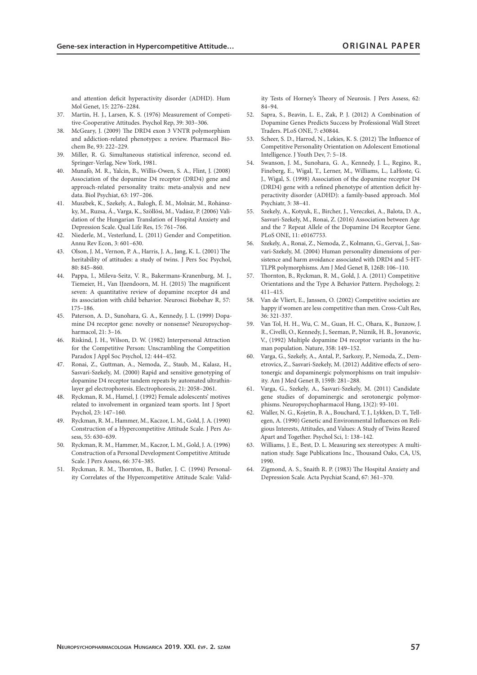and attention deficit hyperactivity disorder (ADHD). Hum Mol Genet, 15: 2276–2284.

- 37. Martin, H. J., Larsen, K. S. (1976) Measurement of Competitive-Cooperative Attitudes. Psychol Rep, 39: 303–306.
- 38. McGeary, J. (2009) The DRD4 exon 3 VNTR polymorphism and addiction-related phenotypes: a review. Pharmacol Biochem Be, 93: 222–229.
- 39. Miller, R. G. Simultaneous statistical inference, second ed. Springer-Verlag, New York, 1981.
- 40. Munafò, M. R., Yalcin, B., Willis-Owen, S. A., Flint, J. (2008) Association of the dopamine D4 receptor (DRD4) gene and approach-related personality traits: meta-analysis and new data. Biol Psychiat, 63: 197–206.
- 41. Muszbek, K., Szekely, A., Balogh, É. M., Molnár, M., Rohánszky, M., Ruzsa, Á., Varga, K., Szöllösi, M., Vadász, P. (2006) Validation of the Hungarian Translation of Hospital Anxiety and Depression Scale. Qual Life Res, 15: 761–766.
- 42. Niederle, M., Vesterlund, L. (2011) Gender and Competition. Annu Rev Econ, 3: 601–630.
- 43. Olson, J. M., Vernon, P. A., Harris, J. A., Jang, K. L. (2001) The heritability of attitudes: a study of twins. J Pers Soc Psychol, 80: 845–860.
- 44. Pappa, I., Mileva-Seitz, V. R., Bakermans-Kranenburg, M. J., Tiemeier, H., Van IJzendoorn, M. H. (2015) The magnificent seven: A quantitative review of dopamine receptor d4 and its association with child behavior. Neurosci Biobehav R, 57: 175–186.
- 45. Paterson, A. D., Sunohara, G. A., Kennedy, J. L. (1999) Dopamine D4 receptor gene: novelty or nonsense? Neuropsychopharmacol, 21: 3–16.
- 46. Riskind, J. H., Wilson, D. W. (1982) Interpersonal Attraction for the Competitive Person: Unscrambling the Competition Paradox J Appl Soc Psychol, 12: 444–452.
- 47. Ronai, Z., Guttman, A., Nemoda, Z., Staub, M., Kalasz, H., Sasvari-Szekely, M. (2000) Rapid and sensitive genotyping of dopamine D4 receptor tandem repeats by automated ultrathinlayer gel electrophoresis. Electrophoresis, 21: 2058–2061.
- 48. Ryckman, R. M., Hamel, J. (1992) Female adolescents' motives related to involvement in organized team sports. Int J Sport Psychol, 23: 147–160.
- 49. Ryckman, R. M., Hammer, M., Kaczor, L. M., Gold, J. A. (1990) Construction of a Hypercompetitive Attitude Scale. J Pers Assess, 55: 630–639.
- 50. Ryckman, R. M., Hammer, M., Kaczor, L. M., Gold, J. A. (1996) Construction of a Personal Development Competitive Attitude Scale. J Pers Assess, 66: 374–385.
- 51. Ryckman, R. M., Thornton, B., Butler, J. C. (1994) Personality Correlates of the Hypercompetitive Attitude Scale: Valid-

ity Tests of Horney's Theory of Neurosis. J Pers Assess, 62: 84–94.

- 52. Sapra, S., Beavin, L. E., Zak, P. J. (2012) A Combination of Dopamine Genes Predicts Success by Professional Wall Street Traders. PLoS ONE, 7: e30844.
- 53. Scheer, S. D., Harrod, N., Lekies, K. S. (2012) The Influence of Competitive Personality Orientation on Adolescent Emotional Intelligence. J Youth Dev, 7: 5–18.
- 54. Swanson, J. M., Sunohara, G. A., Kennedy, J. L., Regino, R., Fineberg, E., Wigal, T., Lerner, M., Williams, L., LaHoste, G. J., Wigal, S. (1998) Association of the dopamine receptor D4 (DRD4) gene with a refined phenotype of attention deficit hyperactivity disorder (ADHD): a family-based approach. Mol Psychiatr, 3: 38–41.
- 55. Szekely, A., Kotyuk, E., Bircher, J., Vereczkei, A., Balota, D. A., Sasvari-Szekely, M., Ronai, Z. (2016) Association between Age and the 7 Repeat Allele of the Dopamine D4 Receptor Gene. PLoS ONE, 11: e0167753.
- 56. Szekely, A., Ronai, Z., Nemoda, Z., Kolmann, G., Gervai, J., Sasvari-Szekely, M. (2004) Human personality dimensions of persistence and harm avoidance associated with DRD4 and 5-HT-TLPR polymorphisms. Am J Med Genet B, 126B: 106–110.
- 57. Thornton, B., Ryckman, R. M., Gold, J. A. (2011) Competitive Orientations and the Type A Behavior Pattern. Psychology, 2: 411–415.
- 58. Van de Vliert, E., Janssen, O. (2002) Competitive societies are happy if women are less competitive than men. Cross-Cult Res, 36: 321-337.
- 59. Van Tol, H. H., Wu, C. M., Guan, H. C., Ohara, K., Bunzow, J. R., Civelli, O., Kennedy, J., Seeman, P., Niznik, H. B., Jovanovic, V., (1992) Multiple dopamine D4 receptor variants in the human population. Nature, 358: 149–152.
- 60. Varga, G., Szekely, A., Antal, P., Sarkozy, P., Nemoda, Z., Demetrovics, Z., Sasvari-Szekely, M. (2012) Additive effects of serotonergic and dopaminergic polymorphisms on trait impulsivity. Am J Med Genet B, 159B: 281–288.
- 61. Varga, G., Szekely, A., Sasvari-Szekely, M. (2011) Candidate gene studies of dopaminergic and serotonergic polymorphisms. Neuropsychopharmacol Hung, 13(2): 93-101.
- 62. Waller, N. G., Kojetin, B. A., Bouchard, T. J., Lykken, D. T., Tellegen, A. (1990) Genetic and Environmental Influences on Religious Interests, Attitudes, and Values: A Study of Twins Reared Apart and Together. Psychol Sci, 1: 138–142.
- 63. Williams, J. E., Best, D. L. Measuring sex stereotypes: A multination study. Sage Publications Inc., Thousand Oaks, CA, US, 1990.
- 64. Zigmond, A. S., Snaith R. P. (1983) The Hospital Anxiety and Depression Scale. Acta Psychiat Scand, 67: 361–370.